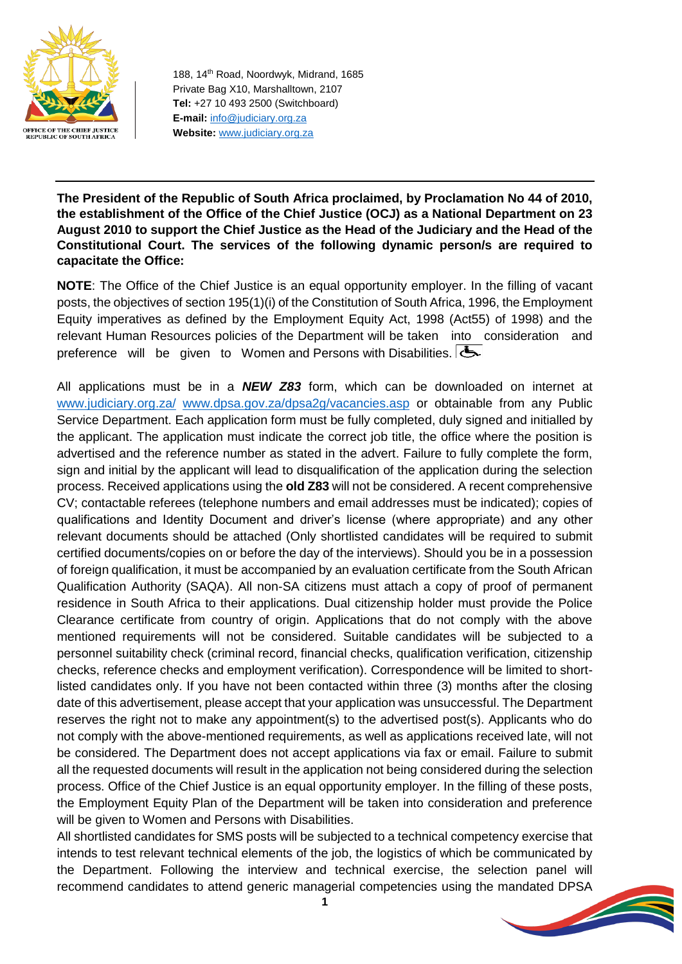

188, 14th Road, Noordwyk, Midrand, 1685 Private Bag X10, Marshalltown, 2107 **Tel:** +27 10 493 2500 (Switchboard) **E-mail:** [info@judiciary.org.za](mailto:info@judiciary.org.za) **Website:** [www.judiciary.org.za](http://www.judiciary.org.za/)

**The President of the Republic of South Africa proclaimed, by Proclamation No 44 of 2010, the establishment of the Office of the Chief Justice (OCJ) as a National Department on 23 August 2010 to support the Chief Justice as the Head of the Judiciary and the Head of the Constitutional Court. The services of the following dynamic person/s are required to capacitate the Office:**

**NOTE**: The Office of the Chief Justice is an equal opportunity employer. In the filling of vacant posts, the objectives of section 195(1)(i) of the Constitution of South Africa, 1996, the Employment Equity imperatives as defined by the Employment Equity Act, 1998 (Act55) of 1998) and the relevant Human Resources policies of the Department will be taken into consideration and preference will be given to Women and Persons with Disabilities.

All applications must be in a *NEW Z83* form, which can be downloaded on internet at [www.judiciary.org.za/](http://www.judiciary.org.za/) [www.dpsa.gov.za/dpsa2g/vacancies.asp](http://www.dpsa.gov.za/dpsa2g/vacancies.asp) or obtainable from any Public Service Department. Each application form must be fully completed, duly signed and initialled by the applicant. The application must indicate the correct job title, the office where the position is advertised and the reference number as stated in the advert. Failure to fully complete the form, sign and initial by the applicant will lead to disqualification of the application during the selection process. Received applications using the **old Z83** will not be considered. A recent comprehensive CV; contactable referees (telephone numbers and email addresses must be indicated); copies of qualifications and Identity Document and driver's license (where appropriate) and any other relevant documents should be attached (Only shortlisted candidates will be required to submit certified documents/copies on or before the day of the interviews). Should you be in a possession of foreign qualification, it must be accompanied by an evaluation certificate from the South African Qualification Authority (SAQA). All non-SA citizens must attach a copy of proof of permanent residence in South Africa to their applications. Dual citizenship holder must provide the Police Clearance certificate from country of origin. Applications that do not comply with the above mentioned requirements will not be considered. Suitable candidates will be subjected to a personnel suitability check (criminal record, financial checks, qualification verification, citizenship checks, reference checks and employment verification). Correspondence will be limited to shortlisted candidates only. If you have not been contacted within three (3) months after the closing date of this advertisement, please accept that your application was unsuccessful. The Department reserves the right not to make any appointment(s) to the advertised post(s). Applicants who do not comply with the above-mentioned requirements, as well as applications received late, will not be considered. The Department does not accept applications via fax or email. Failure to submit all the requested documents will result in the application not being considered during the selection process. Office of the Chief Justice is an equal opportunity employer. In the filling of these posts, the Employment Equity Plan of the Department will be taken into consideration and preference will be given to Women and Persons with Disabilities.

All shortlisted candidates for SMS posts will be subjected to a technical competency exercise that intends to test relevant technical elements of the job, the logistics of which be communicated by the Department. Following the interview and technical exercise, the selection panel will recommend candidates to attend generic managerial competencies using the mandated DPSA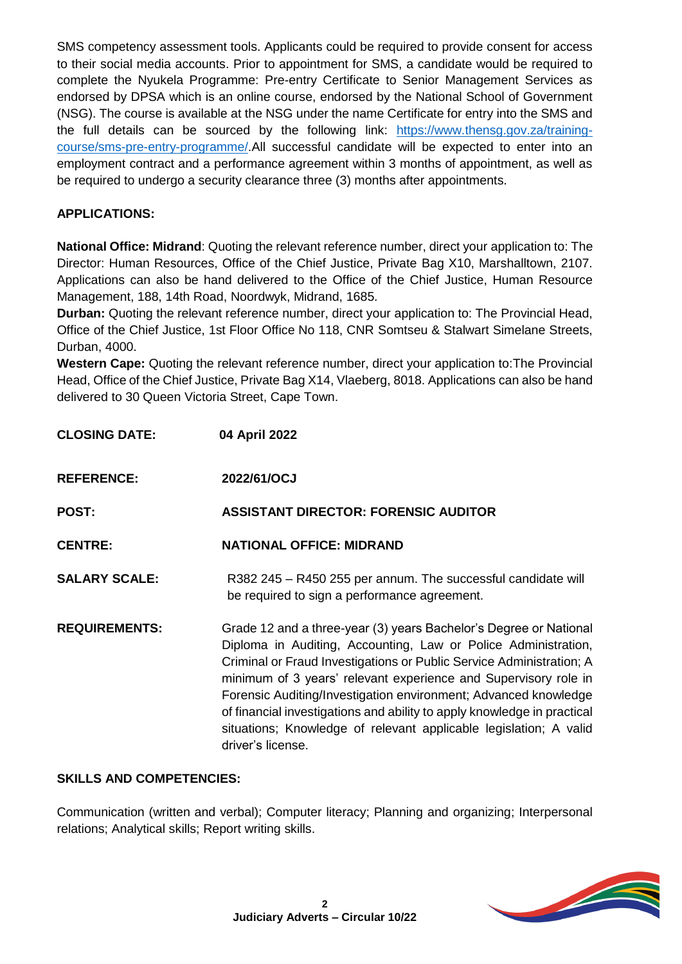SMS competency assessment tools. Applicants could be required to provide consent for access to their social media accounts. Prior to appointment for SMS, a candidate would be required to complete the Nyukela Programme: Pre-entry Certificate to Senior Management Services as endorsed by DPSA which is an online course, endorsed by the National School of Government (NSG). The course is available at the NSG under the name Certificate for entry into the SMS and the full details can be sourced by the following link: [https://www.thensg.gov.za/training](https://www.thensg.gov.za/training-course/sms-pre-entry-programme/)[course/sms-pre-entry-programme/.](https://www.thensg.gov.za/training-course/sms-pre-entry-programme/)All successful candidate will be expected to enter into an employment contract and a performance agreement within 3 months of appointment, as well as be required to undergo a security clearance three (3) months after appointments.

# **APPLICATIONS:**

**National Office: Midrand**: Quoting the relevant reference number, direct your application to: The Director: Human Resources, Office of the Chief Justice, Private Bag X10, Marshalltown, 2107. Applications can also be hand delivered to the Office of the Chief Justice, Human Resource Management, 188, 14th Road, Noordwyk, Midrand, 1685.

**Durban:** Quoting the relevant reference number, direct your application to: The Provincial Head, Office of the Chief Justice, 1st Floor Office No 118, CNR Somtseu & Stalwart Simelane Streets, Durban, 4000.

**Western Cape:** Quoting the relevant reference number, direct your application to:The Provincial Head, Office of the Chief Justice, Private Bag X14, Vlaeberg, 8018. Applications can also be hand delivered to 30 Queen Victoria Street, Cape Town.

| <b>CLOSING DATE:</b> | 04 April 2022                                                                                                                                                                                                                                                                                                                                                                                                                                                                                                          |
|----------------------|------------------------------------------------------------------------------------------------------------------------------------------------------------------------------------------------------------------------------------------------------------------------------------------------------------------------------------------------------------------------------------------------------------------------------------------------------------------------------------------------------------------------|
| <b>REFERENCE:</b>    | 2022/61/OCJ                                                                                                                                                                                                                                                                                                                                                                                                                                                                                                            |
| POST:                | <b>ASSISTANT DIRECTOR: FORENSIC AUDITOR</b>                                                                                                                                                                                                                                                                                                                                                                                                                                                                            |
| <b>CENTRE:</b>       | <b>NATIONAL OFFICE: MIDRAND</b>                                                                                                                                                                                                                                                                                                                                                                                                                                                                                        |
| <b>SALARY SCALE:</b> | R382 245 - R450 255 per annum. The successful candidate will<br>be required to sign a performance agreement.                                                                                                                                                                                                                                                                                                                                                                                                           |
| <b>REQUIREMENTS:</b> | Grade 12 and a three-year (3) years Bachelor's Degree or National<br>Diploma in Auditing, Accounting, Law or Police Administration,<br>Criminal or Fraud Investigations or Public Service Administration; A<br>minimum of 3 years' relevant experience and Supervisory role in<br>Forensic Auditing/Investigation environment; Advanced knowledge<br>of financial investigations and ability to apply knowledge in practical<br>situations; Knowledge of relevant applicable legislation; A valid<br>driver's license. |

### **SKILLS AND COMPETENCIES:**

Communication (written and verbal); Computer literacy; Planning and organizing; Interpersonal relations; Analytical skills; Report writing skills.

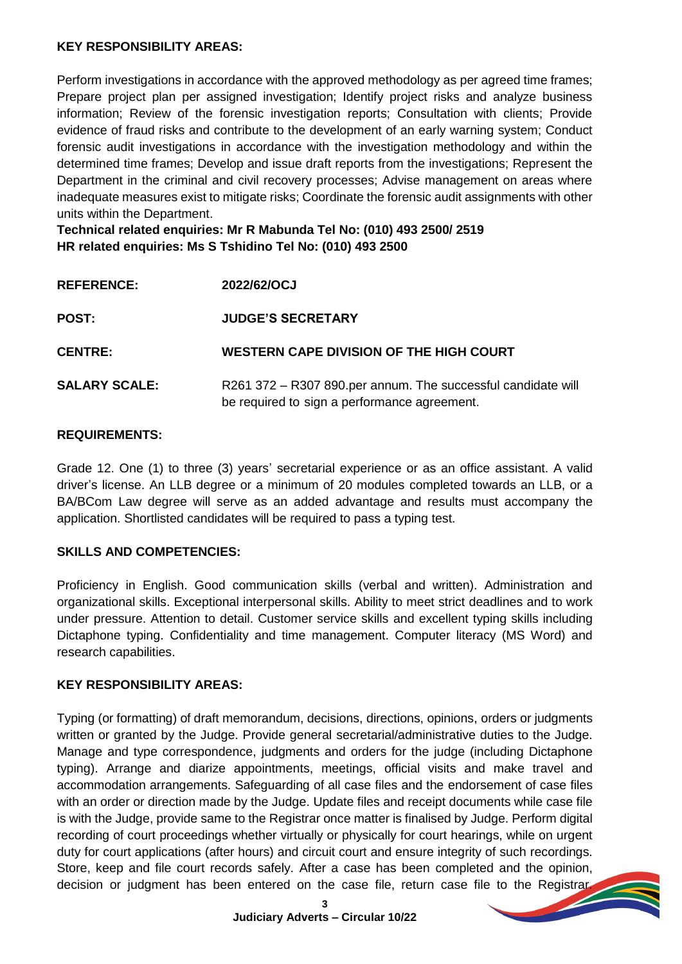### **KEY RESPONSIBILITY AREAS:**

Perform investigations in accordance with the approved methodology as per agreed time frames; Prepare project plan per assigned investigation; Identify project risks and analyze business information; Review of the forensic investigation reports; Consultation with clients; Provide evidence of fraud risks and contribute to the development of an early warning system; Conduct forensic audit investigations in accordance with the investigation methodology and within the determined time frames; Develop and issue draft reports from the investigations; Represent the Department in the criminal and civil recovery processes; Advise management on areas where inadequate measures exist to mitigate risks; Coordinate the forensic audit assignments with other units within the Department.

**Technical related enquiries: Mr R Mabunda Tel No: (010) 493 2500/ 2519 HR related enquiries: Ms S Tshidino Tel No: (010) 493 2500**

| <b>REFERENCE:</b>    | 2022/62/OCJ                                                                                                  |
|----------------------|--------------------------------------------------------------------------------------------------------------|
| <b>POST:</b>         | <b>JUDGE'S SECRETARY</b>                                                                                     |
| <b>CENTRE:</b>       | WESTERN CAPE DIVISION OF THE HIGH COURT                                                                      |
| <b>SALARY SCALE:</b> | R261 372 - R307 890.per annum. The successful candidate will<br>be required to sign a performance agreement. |

### **REQUIREMENTS:**

Grade 12. One (1) to three (3) years' secretarial experience or as an office assistant. A valid driver's license. An LLB degree or a minimum of 20 modules completed towards an LLB, or a BA/BCom Law degree will serve as an added advantage and results must accompany the application. Shortlisted candidates will be required to pass a typing test.

### **SKILLS AND COMPETENCIES:**

Proficiency in English. Good communication skills (verbal and written). Administration and organizational skills. Exceptional interpersonal skills. Ability to meet strict deadlines and to work under pressure. Attention to detail. Customer service skills and excellent typing skills including Dictaphone typing. Confidentiality and time management. Computer literacy (MS Word) and research capabilities.

#### **KEY RESPONSIBILITY AREAS:**

Typing (or formatting) of draft memorandum, decisions, directions, opinions, orders or judgments written or granted by the Judge. Provide general secretarial/administrative duties to the Judge. Manage and type correspondence, judgments and orders for the judge (including Dictaphone typing). Arrange and diarize appointments, meetings, official visits and make travel and accommodation arrangements. Safeguarding of all case files and the endorsement of case files with an order or direction made by the Judge. Update files and receipt documents while case file is with the Judge, provide same to the Registrar once matter is finalised by Judge. Perform digital recording of court proceedings whether virtually or physically for court hearings, while on urgent duty for court applications (after hours) and circuit court and ensure integrity of such recordings. Store, keep and file court records safely. After a case has been completed and the opinion, decision or judgment has been entered on the case file, return case file to the Registrar.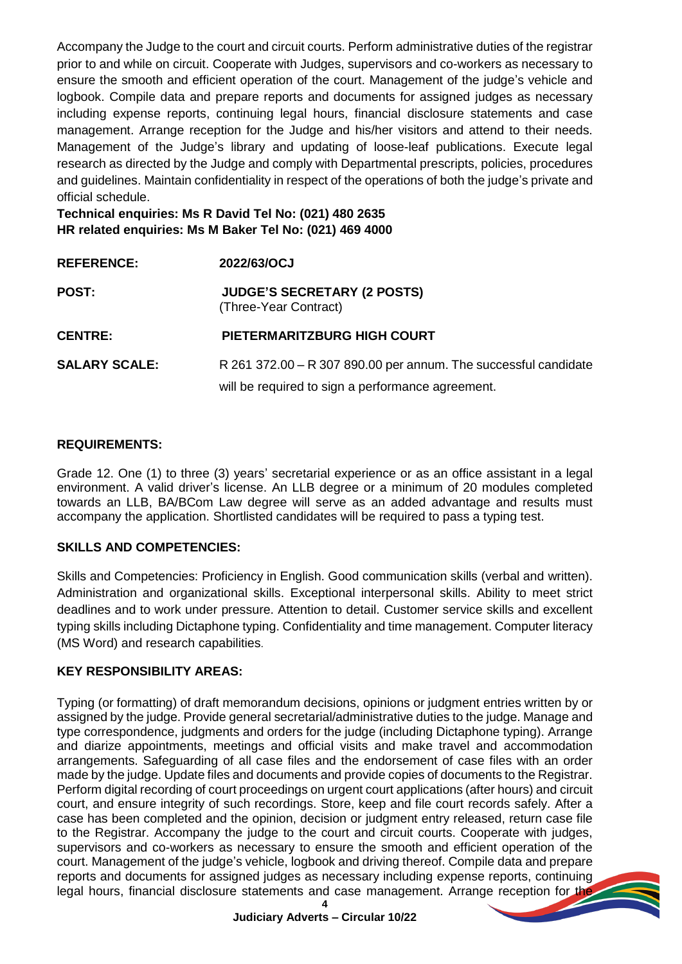Accompany the Judge to the court and circuit courts. Perform administrative duties of the registrar prior to and while on circuit. Cooperate with Judges, supervisors and co-workers as necessary to ensure the smooth and efficient operation of the court. Management of the judge's vehicle and logbook. Compile data and prepare reports and documents for assigned judges as necessary including expense reports, continuing legal hours, financial disclosure statements and case management. Arrange reception for the Judge and his/her visitors and attend to their needs. Management of the Judge's library and updating of loose-leaf publications. Execute legal research as directed by the Judge and comply with Departmental prescripts, policies, procedures and guidelines. Maintain confidentiality in respect of the operations of both the judge's private and official schedule.

**Technical enquiries: Ms R David Tel No: (021) 480 2635 HR related enquiries: Ms M Baker Tel No: (021) 469 4000**

| <b>REFERENCE:</b>    | 2022/63/OCJ                                                     |
|----------------------|-----------------------------------------------------------------|
| <b>POST:</b>         | <b>JUDGE'S SECRETARY (2 POSTS)</b><br>(Three-Year Contract)     |
| <b>CENTRE:</b>       | <b>PIETERMARITZBURG HIGH COURT</b>                              |
| <b>SALARY SCALE:</b> | R 261 372.00 - R 307 890.00 per annum. The successful candidate |
|                      | will be required to sign a performance agreement.               |

### **REQUIREMENTS:**

Grade 12. One (1) to three (3) years' secretarial experience or as an office assistant in a legal environment. A valid driver's license. An LLB degree or a minimum of 20 modules completed towards an LLB, BA/BCom Law degree will serve as an added advantage and results must accompany the application. Shortlisted candidates will be required to pass a typing test.

# **SKILLS AND COMPETENCIES:**

Skills and Competencies: Proficiency in English. Good communication skills (verbal and written). Administration and organizational skills. Exceptional interpersonal skills. Ability to meet strict deadlines and to work under pressure. Attention to detail. Customer service skills and excellent typing skills including Dictaphone typing. Confidentiality and time management. Computer literacy (MS Word) and research capabilities.

### **KEY RESPONSIBILITY AREAS:**

Typing (or formatting) of draft memorandum decisions, opinions or judgment entries written by or assigned by the judge. Provide general secretarial/administrative duties to the judge. Manage and type correspondence, judgments and orders for the judge (including Dictaphone typing). Arrange and diarize appointments, meetings and official visits and make travel and accommodation arrangements. Safeguarding of all case files and the endorsement of case files with an order made by the judge. Update files and documents and provide copies of documents to the Registrar. Perform digital recording of court proceedings on urgent court applications (after hours) and circuit court, and ensure integrity of such recordings. Store, keep and file court records safely. After a case has been completed and the opinion, decision or judgment entry released, return case file to the Registrar. Accompany the judge to the court and circuit courts. Cooperate with judges, supervisors and co-workers as necessary to ensure the smooth and efficient operation of the court. Management of the judge's vehicle, logbook and driving thereof. Compile data and prepare reports and documents for assigned judges as necessary including expense reports, continuing legal hours, financial disclosure statements and case management. Arrange reception for the